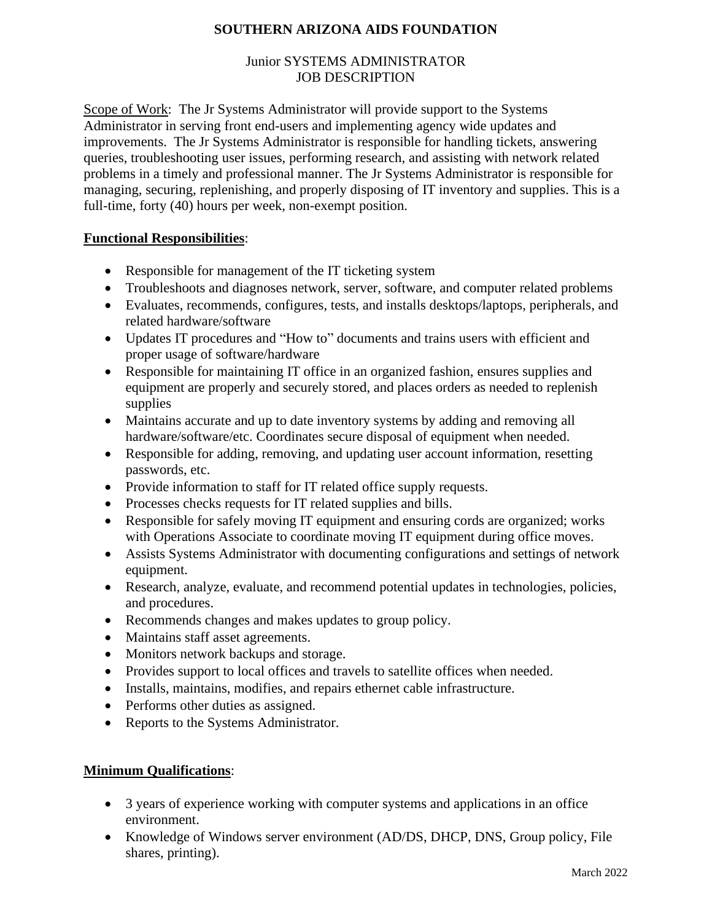### **SOUTHERN ARIZONA AIDS FOUNDATION**

#### Junior SYSTEMS ADMINISTRATOR JOB DESCRIPTION

Scope of Work: The Jr Systems Administrator will provide support to the Systems Administrator in serving front end-users and implementing agency wide updates and improvements. The Jr Systems Administrator is responsible for handling tickets, answering queries, troubleshooting user issues, performing research, and assisting with network related problems in a timely and professional manner. The Jr Systems Administrator is responsible for managing, securing, replenishing, and properly disposing of IT inventory and supplies. This is a full-time, forty (40) hours per week, non-exempt position.

### **Functional Responsibilities**:

- Responsible for management of the IT ticketing system
- Troubleshoots and diagnoses network, server, software, and computer related problems
- Evaluates, recommends, configures, tests, and installs desktops/laptops, peripherals, and related hardware/software
- Updates IT procedures and "How to" documents and trains users with efficient and proper usage of software/hardware
- Responsible for maintaining IT office in an organized fashion, ensures supplies and equipment are properly and securely stored, and places orders as needed to replenish supplies
- Maintains accurate and up to date inventory systems by adding and removing all hardware/software/etc. Coordinates secure disposal of equipment when needed.
- Responsible for adding, removing, and updating user account information, resetting passwords, etc.
- Provide information to staff for IT related office supply requests.
- Processes checks requests for IT related supplies and bills.
- Responsible for safely moving IT equipment and ensuring cords are organized; works with Operations Associate to coordinate moving IT equipment during office moves.
- Assists Systems Administrator with documenting configurations and settings of network equipment.
- Research, analyze, evaluate, and recommend potential updates in technologies, policies, and procedures.
- Recommends changes and makes updates to group policy.
- Maintains staff asset agreements.
- Monitors network backups and storage.
- Provides support to local offices and travels to satellite offices when needed.
- Installs, maintains, modifies, and repairs ethernet cable infrastructure.
- Performs other duties as assigned.
- Reports to the Systems Administrator.

# **Minimum Qualifications**:

- 3 years of experience working with computer systems and applications in an office environment.
- Knowledge of Windows server environment (AD/DS, DHCP, DNS, Group policy, File shares, printing).